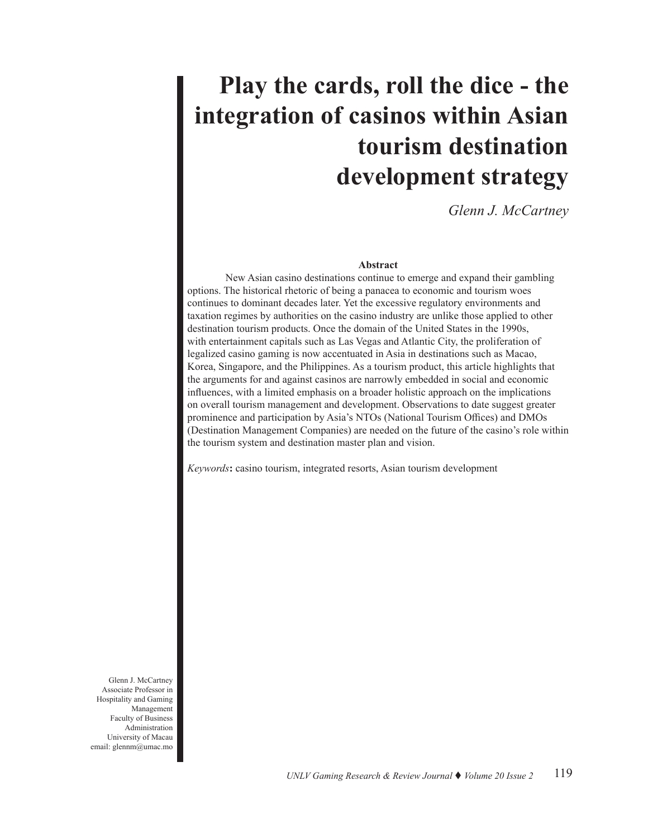# **Play the cards, roll the dice - the integration of casinos within Asian tourism destination development strategy**

*Glenn J. McCartney*

## **Abstract**

New Asian casino destinations continue to emerge and expand their gambling options. The historical rhetoric of being a panacea to economic and tourism woes continues to dominant decades later. Yet the excessive regulatory environments and taxation regimes by authorities on the casino industry are unlike those applied to other destination tourism products. Once the domain of the United States in the 1990s, with entertainment capitals such as Las Vegas and Atlantic City, the proliferation of legalized casino gaming is now accentuated in Asia in destinations such as Macao, Korea, Singapore, and the Philippines. As a tourism product, this article highlights that the arguments for and against casinos are narrowly embedded in social and economic influences, with a limited emphasis on a broader holistic approach on the implications on overall tourism management and development. Observations to date suggest greater prominence and participation by Asia's NTOs (National Tourism Offices) and DMOs (Destination Management Companies) are needed on the future of the casino's role within the tourism system and destination master plan and vision.

*Keywords***:** casino tourism, integrated resorts, Asian tourism development

Glenn J. McCartney Associate Professor in Hospitality and Gaming Management Faculty of Business Administration University of Macau email: glennm@umac.mo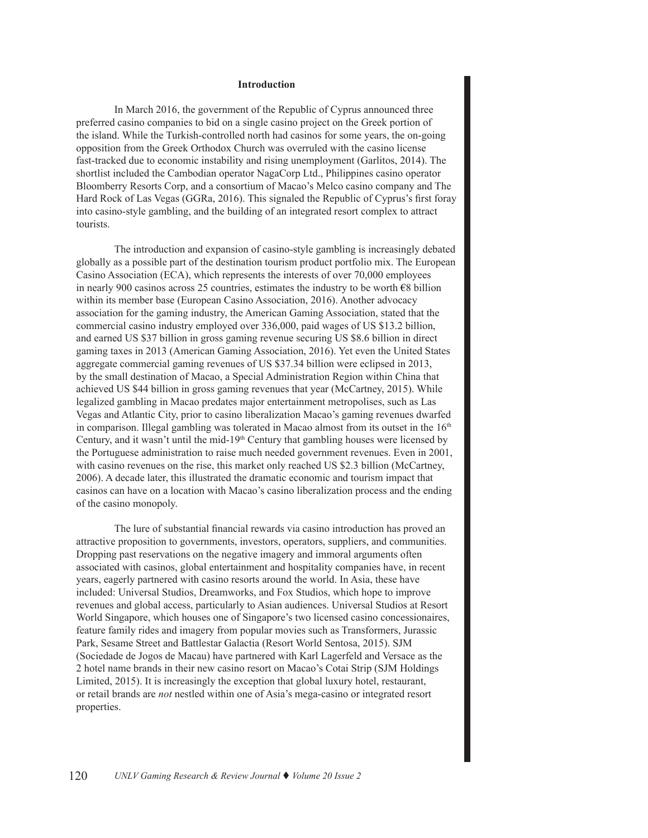## **Introduction**

In March 2016, the government of the Republic of Cyprus announced three preferred casino companies to bid on a single casino project on the Greek portion of the island. While the Turkish-controlled north had casinos for some years, the on-going opposition from the Greek Orthodox Church was overruled with the casino license fast-tracked due to economic instability and rising unemployment (Garlitos, 2014). The shortlist included the Cambodian operator NagaCorp Ltd., Philippines casino operator Bloomberry Resorts Corp, and a consortium of Macao's Melco casino company and The Hard Rock of Las Vegas (GGRa, 2016). This signaled the Republic of Cyprus's first foray into casino-style gambling, and the building of an integrated resort complex to attract tourists.

The introduction and expansion of casino-style gambling is increasingly debated globally as a possible part of the destination tourism product portfolio mix. The European Casino Association (ECA), which represents the interests of over 70,000 employees in nearly 900 casinos across 25 countries, estimates the industry to be worth  $\epsilon$ 8 billion within its member base (European Casino Association, 2016). Another advocacy association for the gaming industry, the American Gaming Association, stated that the commercial casino industry employed over 336,000, paid wages of US \$13.2 billion, and earned US \$37 billion in gross gaming revenue securing US \$8.6 billion in direct gaming taxes in 2013 (American Gaming Association, 2016). Yet even the United States aggregate commercial gaming revenues of US \$37.34 billion were eclipsed in 2013, by the small destination of Macao, a Special Administration Region within China that achieved US \$44 billion in gross gaming revenues that year (McCartney, 2015). While legalized gambling in Macao predates major entertainment metropolises, such as Las Vegas and Atlantic City, prior to casino liberalization Macao's gaming revenues dwarfed in comparison. Illegal gambling was tolerated in Macao almost from its outset in the  $16<sup>th</sup>$ Century, and it wasn't until the mid-19<sup>th</sup> Century that gambling houses were licensed by the Portuguese administration to raise much needed government revenues. Even in 2001, with casino revenues on the rise, this market only reached US \$2.3 billion (McCartney, 2006). A decade later, this illustrated the dramatic economic and tourism impact that casinos can have on a location with Macao's casino liberalization process and the ending of the casino monopoly.

The lure of substantial financial rewards via casino introduction has proved an attractive proposition to governments, investors, operators, suppliers, and communities. Dropping past reservations on the negative imagery and immoral arguments often associated with casinos, global entertainment and hospitality companies have, in recent years, eagerly partnered with casino resorts around the world. In Asia, these have included: Universal Studios, Dreamworks, and Fox Studios, which hope to improve revenues and global access, particularly to Asian audiences. Universal Studios at Resort World Singapore, which houses one of Singapore's two licensed casino concessionaires, feature family rides and imagery from popular movies such as Transformers, Jurassic Park, Sesame Street and Battlestar Galactia (Resort World Sentosa, 2015). SJM (Sociedade de Jogos de Macau) have partnered with Karl Lagerfeld and Versace as the 2 hotel name brands in their new casino resort on Macao's Cotai Strip (SJM Holdings Limited, 2015). It is increasingly the exception that global luxury hotel, restaurant, or retail brands are *not* nestled within one of Asia's mega-casino or integrated resort properties.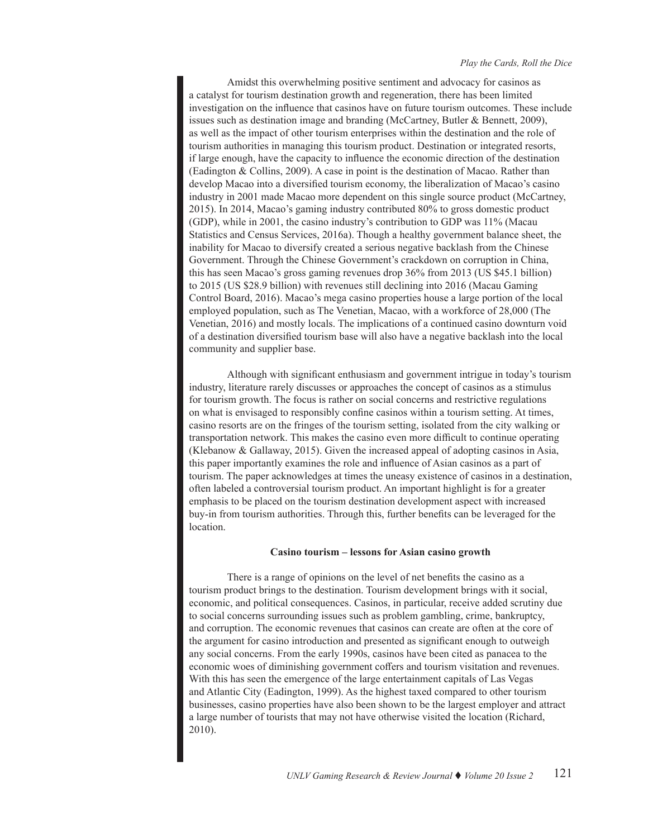Amidst this overwhelming positive sentiment and advocacy for casinos as a catalyst for tourism destination growth and regeneration, there has been limited investigation on the influence that casinos have on future tourism outcomes. These include issues such as destination image and branding (McCartney, Butler & Bennett, 2009), as well as the impact of other tourism enterprises within the destination and the role of tourism authorities in managing this tourism product. Destination or integrated resorts, if large enough, have the capacity to influence the economic direction of the destination (Eadington & Collins, 2009). A case in point is the destination of Macao. Rather than develop Macao into a diversified tourism economy, the liberalization of Macao's casino industry in 2001 made Macao more dependent on this single source product (McCartney, 2015). In 2014, Macao's gaming industry contributed 80% to gross domestic product (GDP), while in 2001, the casino industry's contribution to GDP was 11% (Macau Statistics and Census Services, 2016a). Though a healthy government balance sheet, the inability for Macao to diversify created a serious negative backlash from the Chinese Government. Through the Chinese Government's crackdown on corruption in China, this has seen Macao's gross gaming revenues drop 36% from 2013 (US \$45.1 billion) to 2015 (US \$28.9 billion) with revenues still declining into 2016 (Macau Gaming Control Board, 2016). Macao's mega casino properties house a large portion of the local employed population, such as The Venetian, Macao, with a workforce of 28,000 (The Venetian, 2016) and mostly locals. The implications of a continued casino downturn void of a destination diversified tourism base will also have a negative backlash into the local community and supplier base.

Although with significant enthusiasm and government intrigue in today's tourism industry, literature rarely discusses or approaches the concept of casinos as a stimulus for tourism growth. The focus is rather on social concerns and restrictive regulations on what is envisaged to responsibly confine casinos within a tourism setting. At times, casino resorts are on the fringes of the tourism setting, isolated from the city walking or transportation network. This makes the casino even more difficult to continue operating (Klebanow & Gallaway, 2015). Given the increased appeal of adopting casinos in Asia, this paper importantly examines the role and influence of Asian casinos as a part of tourism. The paper acknowledges at times the uneasy existence of casinos in a destination, often labeled a controversial tourism product. An important highlight is for a greater emphasis to be placed on the tourism destination development aspect with increased buy-in from tourism authorities. Through this, further benefits can be leveraged for the location.

## **Casino tourism – lessons for Asian casino growth**

There is a range of opinions on the level of net benefits the casino as a tourism product brings to the destination. Tourism development brings with it social, economic, and political consequences. Casinos, in particular, receive added scrutiny due to social concerns surrounding issues such as problem gambling, crime, bankruptcy, and corruption. The economic revenues that casinos can create are often at the core of the argument for casino introduction and presented as significant enough to outweigh any social concerns. From the early 1990s, casinos have been cited as panacea to the economic woes of diminishing government coffers and tourism visitation and revenues. With this has seen the emergence of the large entertainment capitals of Las Vegas and Atlantic City (Eadington, 1999). As the highest taxed compared to other tourism businesses, casino properties have also been shown to be the largest employer and attract a large number of tourists that may not have otherwise visited the location (Richard, 2010).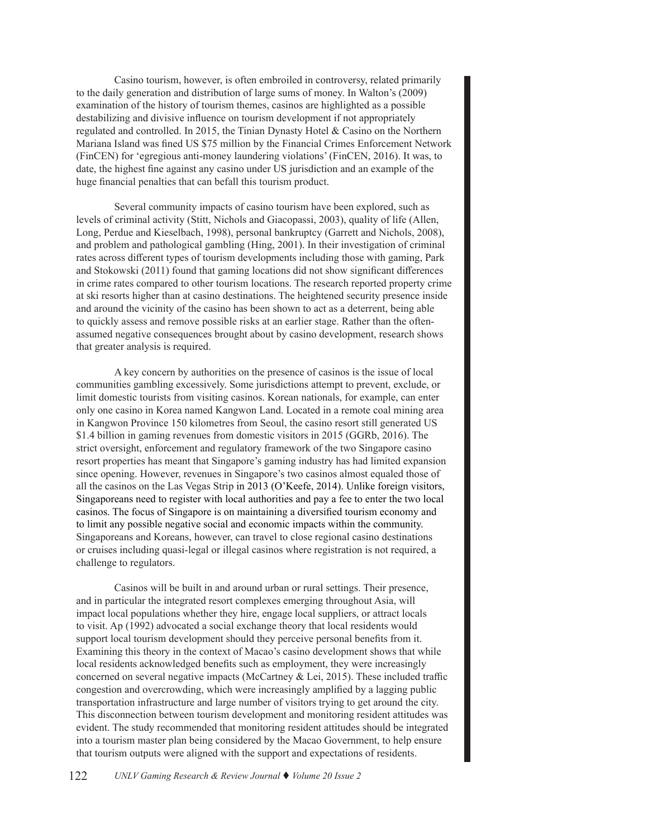Casino tourism, however, is often embroiled in controversy, related primarily to the daily generation and distribution of large sums of money. In Walton's (2009) examination of the history of tourism themes, casinos are highlighted as a possible destabilizing and divisive influence on tourism development if not appropriately regulated and controlled. In 2015, the Tinian Dynasty Hotel & Casino on the Northern Mariana Island was fined US \$75 million by the Financial Crimes Enforcement Network (FinCEN) for 'egregious anti-money laundering violations' (FinCEN, 2016). It was, to date, the highest fine against any casino under US jurisdiction and an example of the huge financial penalties that can befall this tourism product.

Several community impacts of casino tourism have been explored, such as levels of criminal activity (Stitt, Nichols and Giacopassi, 2003), quality of life (Allen, Long, Perdue and Kieselbach, 1998), personal bankruptcy (Garrett and Nichols, 2008), and problem and pathological gambling (Hing, 2001). In their investigation of criminal rates across different types of tourism developments including those with gaming, Park and Stokowski (2011) found that gaming locations did not show significant differences in crime rates compared to other tourism locations. The research reported property crime at ski resorts higher than at casino destinations. The heightened security presence inside and around the vicinity of the casino has been shown to act as a deterrent, being able to quickly assess and remove possible risks at an earlier stage. Rather than the oftenassumed negative consequences brought about by casino development, research shows that greater analysis is required.

A key concern by authorities on the presence of casinos is the issue of local communities gambling excessively. Some jurisdictions attempt to prevent, exclude, or limit domestic tourists from visiting casinos. Korean nationals, for example, can enter only one casino in Korea named Kangwon Land. Located in a remote coal mining area in Kangwon Province 150 kilometres from Seoul, the casino resort still generated US \$1.4 billion in gaming revenues from domestic visitors in 2015 (GGRb, 2016). The strict oversight, enforcement and regulatory framework of the two Singapore casino resort properties has meant that Singapore's gaming industry has had limited expansion since opening. However, revenues in Singapore's two casinos almost equaled those of all the casinos on the Las Vegas Strip in 2013 (O'Keefe, 2014). Unlike foreign visitors, Singaporeans need to register with local authorities and pay a fee to enter the two local casinos. The focus of Singapore is on maintaining a diversified tourism economy and to limit any possible negative social and economic impacts within the community. Singaporeans and Koreans, however, can travel to close regional casino destinations or cruises including quasi-legal or illegal casinos where registration is not required, a challenge to regulators.

Casinos will be built in and around urban or rural settings. Their presence, and in particular the integrated resort complexes emerging throughout Asia, will impact local populations whether they hire, engage local suppliers, or attract locals to visit. Ap (1992) advocated a social exchange theory that local residents would support local tourism development should they perceive personal benefits from it. Examining this theory in the context of Macao's casino development shows that while local residents acknowledged benefits such as employment, they were increasingly concerned on several negative impacts (McCartney & Lei, 2015). These included traffic congestion and overcrowding, which were increasingly amplified by a lagging public transportation infrastructure and large number of visitors trying to get around the city. This disconnection between tourism development and monitoring resident attitudes was evident. The study recommended that monitoring resident attitudes should be integrated into a tourism master plan being considered by the Macao Government, to help ensure that tourism outputs were aligned with the support and expectations of residents.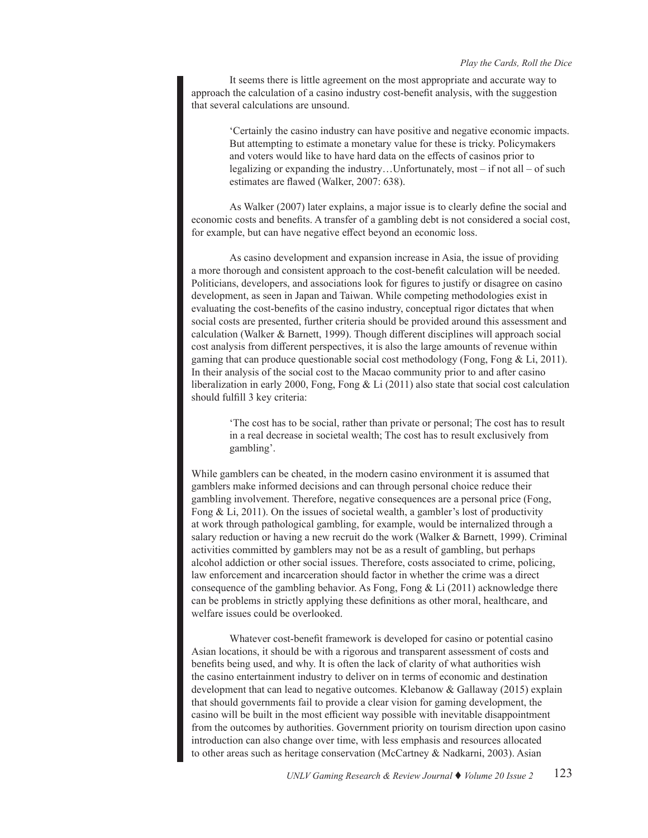It seems there is little agreement on the most appropriate and accurate way to approach the calculation of a casino industry cost-benefit analysis, with the suggestion that several calculations are unsound.

> 'Certainly the casino industry can have positive and negative economic impacts. But attempting to estimate a monetary value for these is tricky. Policymakers and voters would like to have hard data on the effects of casinos prior to legalizing or expanding the industry…Unfortunately, most – if not all – of such estimates are flawed (Walker, 2007: 638).

As Walker (2007) later explains, a major issue is to clearly define the social and economic costs and benefits. A transfer of a gambling debt is not considered a social cost, for example, but can have negative effect beyond an economic loss.

As casino development and expansion increase in Asia, the issue of providing a more thorough and consistent approach to the cost-benefit calculation will be needed. Politicians, developers, and associations look for figures to justify or disagree on casino development, as seen in Japan and Taiwan. While competing methodologies exist in evaluating the cost-benefits of the casino industry, conceptual rigor dictates that when social costs are presented, further criteria should be provided around this assessment and calculation (Walker & Barnett, 1999). Though different disciplines will approach social cost analysis from different perspectives, it is also the large amounts of revenue within gaming that can produce questionable social cost methodology (Fong, Fong & Li, 2011). In their analysis of the social cost to the Macao community prior to and after casino liberalization in early 2000, Fong, Fong & Li (2011) also state that social cost calculation should fulfill 3 key criteria:

'The cost has to be social, rather than private or personal; The cost has to result in a real decrease in societal wealth; The cost has to result exclusively from gambling'.

While gamblers can be cheated, in the modern casino environment it is assumed that gamblers make informed decisions and can through personal choice reduce their gambling involvement. Therefore, negative consequences are a personal price (Fong, Fong  $&$  Li, 2011). On the issues of societal wealth, a gambler's lost of productivity at work through pathological gambling, for example, would be internalized through a salary reduction or having a new recruit do the work (Walker & Barnett, 1999). Criminal activities committed by gamblers may not be as a result of gambling, but perhaps alcohol addiction or other social issues. Therefore, costs associated to crime, policing, law enforcement and incarceration should factor in whether the crime was a direct consequence of the gambling behavior. As Fong, Fong & Li (2011) acknowledge there can be problems in strictly applying these definitions as other moral, healthcare, and welfare issues could be overlooked.

Whatever cost-benefit framework is developed for casino or potential casino Asian locations, it should be with a rigorous and transparent assessment of costs and benefits being used, and why. It is often the lack of clarity of what authorities wish the casino entertainment industry to deliver on in terms of economic and destination development that can lead to negative outcomes. Klebanow & Gallaway (2015) explain that should governments fail to provide a clear vision for gaming development, the casino will be built in the most efficient way possible with inevitable disappointment from the outcomes by authorities. Government priority on tourism direction upon casino introduction can also change over time, with less emphasis and resources allocated to other areas such as heritage conservation (McCartney & Nadkarni, 2003). Asian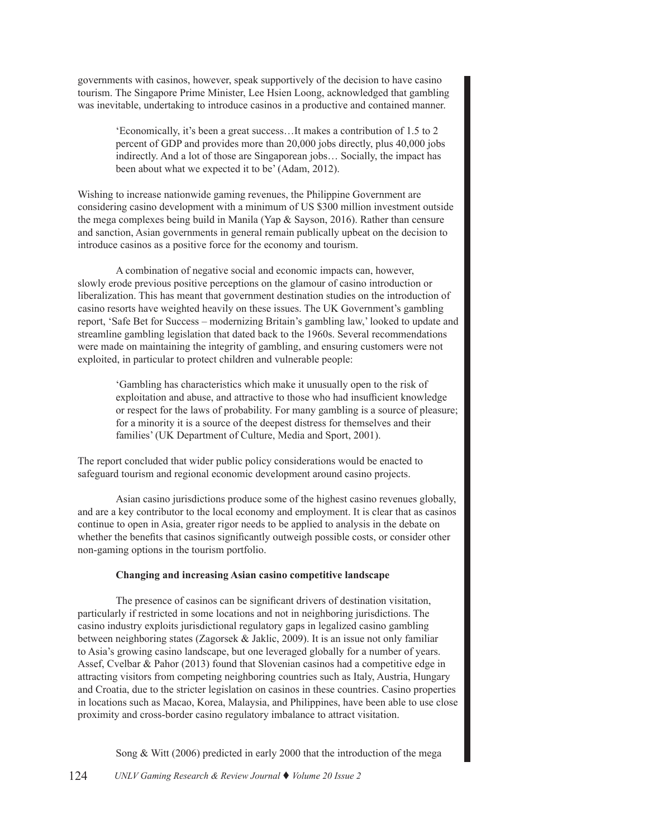governments with casinos, however, speak supportively of the decision to have casino tourism. The Singapore Prime Minister, Lee Hsien Loong, acknowledged that gambling was inevitable, undertaking to introduce casinos in a productive and contained manner.

'Economically, it's been a great success…It makes a contribution of 1.5 to 2 percent of GDP and provides more than 20,000 jobs directly, plus 40,000 jobs indirectly. And a lot of those are Singaporean jobs… Socially, the impact has been about what we expected it to be' (Adam, 2012).

Wishing to increase nationwide gaming revenues, the Philippine Government are considering casino development with a minimum of US \$300 million investment outside the mega complexes being build in Manila (Yap & Sayson, 2016). Rather than censure and sanction, Asian governments in general remain publically upbeat on the decision to introduce casinos as a positive force for the economy and tourism.

A combination of negative social and economic impacts can, however, slowly erode previous positive perceptions on the glamour of casino introduction or liberalization. This has meant that government destination studies on the introduction of casino resorts have weighted heavily on these issues. The UK Government's gambling report, 'Safe Bet for Success – modernizing Britain's gambling law,' looked to update and streamline gambling legislation that dated back to the 1960s. Several recommendations were made on maintaining the integrity of gambling, and ensuring customers were not exploited, in particular to protect children and vulnerable people:

'Gambling has characteristics which make it unusually open to the risk of exploitation and abuse, and attractive to those who had insufficient knowledge or respect for the laws of probability. For many gambling is a source of pleasure; for a minority it is a source of the deepest distress for themselves and their families' (UK Department of Culture, Media and Sport, 2001).

The report concluded that wider public policy considerations would be enacted to safeguard tourism and regional economic development around casino projects.

Asian casino jurisdictions produce some of the highest casino revenues globally, and are a key contributor to the local economy and employment. It is clear that as casinos continue to open in Asia, greater rigor needs to be applied to analysis in the debate on whether the benefits that casinos significantly outweigh possible costs, or consider other non-gaming options in the tourism portfolio.

# **Changing and increasing Asian casino competitive landscape**

The presence of casinos can be significant drivers of destination visitation, particularly if restricted in some locations and not in neighboring jurisdictions. The casino industry exploits jurisdictional regulatory gaps in legalized casino gambling between neighboring states (Zagorsek & Jaklic, 2009). It is an issue not only familiar to Asia's growing casino landscape, but one leveraged globally for a number of years. Assef, Cvelbar & Pahor (2013) found that Slovenian casinos had a competitive edge in attracting visitors from competing neighboring countries such as Italy, Austria, Hungary and Croatia, due to the stricter legislation on casinos in these countries. Casino properties in locations such as Macao, Korea, Malaysia, and Philippines, have been able to use close proximity and cross-border casino regulatory imbalance to attract visitation.

Song & Witt (2006) predicted in early 2000 that the introduction of the mega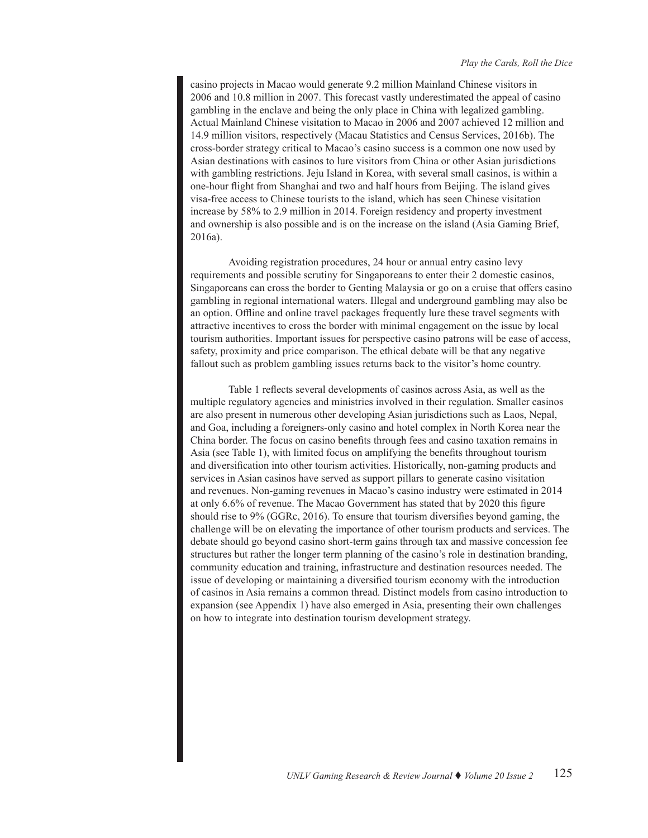casino projects in Macao would generate 9.2 million Mainland Chinese visitors in 2006 and 10.8 million in 2007. This forecast vastly underestimated the appeal of casino gambling in the enclave and being the only place in China with legalized gambling. Actual Mainland Chinese visitation to Macao in 2006 and 2007 achieved 12 million and 14.9 million visitors, respectively (Macau Statistics and Census Services, 2016b). The cross-border strategy critical to Macao's casino success is a common one now used by Asian destinations with casinos to lure visitors from China or other Asian jurisdictions with gambling restrictions. Jeju Island in Korea, with several small casinos, is within a one-hour flight from Shanghai and two and half hours from Beijing. The island gives visa-free access to Chinese tourists to the island, which has seen Chinese visitation increase by 58% to 2.9 million in 2014. Foreign residency and property investment and ownership is also possible and is on the increase on the island (Asia Gaming Brief, 2016a).

Avoiding registration procedures, 24 hour or annual entry casino levy requirements and possible scrutiny for Singaporeans to enter their 2 domestic casinos, Singaporeans can cross the border to Genting Malaysia or go on a cruise that offers casino gambling in regional international waters. Illegal and underground gambling may also be an option. Offline and online travel packages frequently lure these travel segments with attractive incentives to cross the border with minimal engagement on the issue by local tourism authorities. Important issues for perspective casino patrons will be ease of access, safety, proximity and price comparison. The ethical debate will be that any negative fallout such as problem gambling issues returns back to the visitor's home country.

Table 1 reflects several developments of casinos across Asia, as well as the multiple regulatory agencies and ministries involved in their regulation. Smaller casinos are also present in numerous other developing Asian jurisdictions such as Laos, Nepal, and Goa, including a foreigners-only casino and hotel complex in North Korea near the China border. The focus on casino benefits through fees and casino taxation remains in Asia (see Table 1), with limited focus on amplifying the benefits throughout tourism and diversification into other tourism activities. Historically, non-gaming products and services in Asian casinos have served as support pillars to generate casino visitation and revenues. Non-gaming revenues in Macao's casino industry were estimated in 2014 at only 6.6% of revenue. The Macao Government has stated that by 2020 this figure should rise to 9% (GGRc, 2016). To ensure that tourism diversifies beyond gaming, the challenge will be on elevating the importance of other tourism products and services. The debate should go beyond casino short-term gains through tax and massive concession fee structures but rather the longer term planning of the casino's role in destination branding, community education and training, infrastructure and destination resources needed. The issue of developing or maintaining a diversified tourism economy with the introduction of casinos in Asia remains a common thread. Distinct models from casino introduction to expansion (see Appendix 1) have also emerged in Asia, presenting their own challenges on how to integrate into destination tourism development strategy.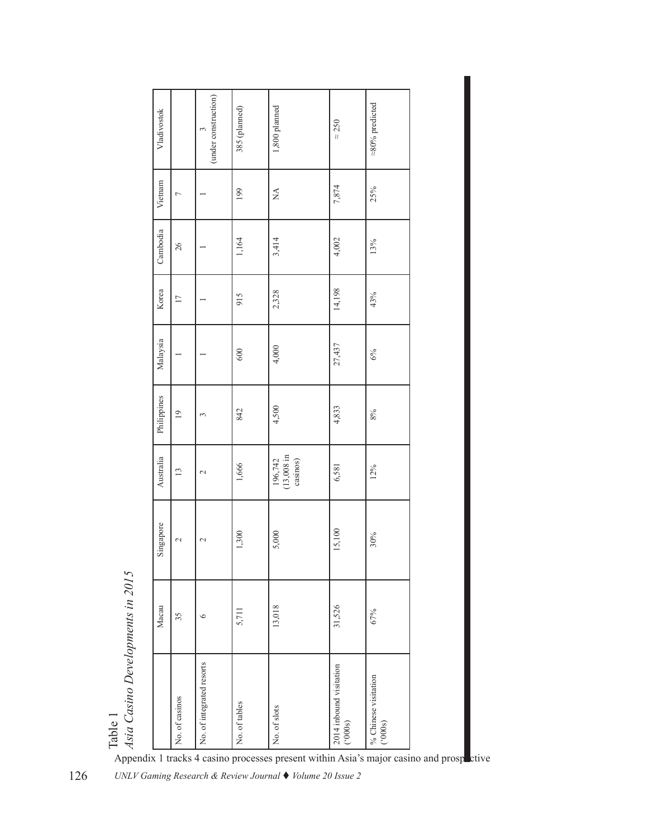| Vladivostok |                | (under construction)<br>3 | 385 (planned) | 1,800 planned                                                                                     | $\approx 250$                      | $\approx\!\!80\%$ predicted   |  |
|-------------|----------------|---------------------------|---------------|---------------------------------------------------------------------------------------------------|------------------------------------|-------------------------------|--|
| Vietnam     | $\overline{ }$ |                           | 199           | $\stackrel{\triangle}{\simeq}$                                                                    | 7,874                              | 25%                           |  |
| Cambodia    | $26\,$         |                           | 1,164         | 3,414                                                                                             | 4,002                              | 13%                           |  |
| Korea       | 17             |                           | 915           | 2,328                                                                                             | 14,198                             | 43%                           |  |
| Malaysia    |                |                           | 600           | 4,000                                                                                             | 27,437                             | $6\%$                         |  |
| Philippines | 19             | 3                         | 842           | 4,500                                                                                             | 4,833                              | $8\%$                         |  |
| Australia   | 13             | $\sim$                    | 1,666         | 196,742<br>(13,008 in casinos)                                                                    | 6,581                              | 12%                           |  |
| Singapore   | $\sim$         | $\sim$                    | 1,300         | 5,000                                                                                             | 15,100                             | 30%                           |  |
| Macau       | 35             | $\circ$                   | 5,711         | 13,018                                                                                            | 31,526                             | 67%                           |  |
|             | No. of casinos | No. of integrated resorts | No. of tables | No. of slots<br>Appendix 1 tracks 4 casino processes present within Asia's major casino and prosp | 2014 inbound visitation<br>('000s) | % Chinese visitation $(000s)$ |  |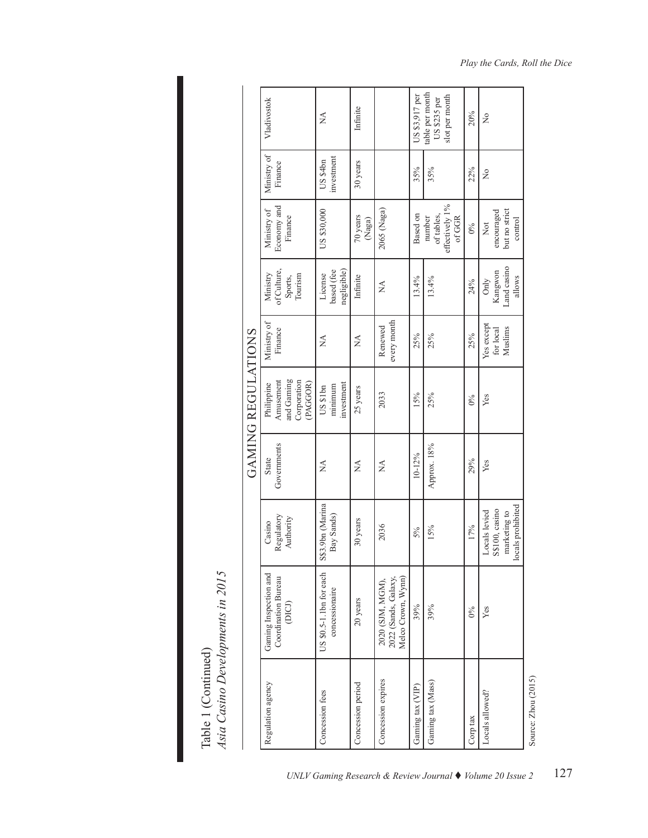Table 1 (Continued)<br>Asia Casino Developments in 2015 *Asia Casino Developments in 2015* Table 1 (Continued)

|                    | Vladivostok                                                     | Á                                         | Infinite                  |                                                                | US \$3,917 per   | table per month<br>slot per month<br>US \$235 per | 20%      | ż                                                                    |
|--------------------|-----------------------------------------------------------------|-------------------------------------------|---------------------------|----------------------------------------------------------------|------------------|---------------------------------------------------|----------|----------------------------------------------------------------------|
| GAMING REGULATIONS | Ministry of<br>Finance                                          | investment<br>US \$4 <sub>bn</sub>        | 30 years                  |                                                                | 35%              | 35%                                               | 22%      | ż                                                                    |
|                    | Economy and<br>Ministry of<br>Finance                           | US \$30,000                               | 70 years<br>(Naga)        | $2065$ (Naga)                                                  | Based on         | effectively 1%<br>of GGR<br>of tables,<br>number  | 0%       | but no strict<br>encouraged<br>control<br>Not                        |
|                    | of Culture,<br>Ministry<br>Tourism<br>Sports,                   | based (fee<br>negligible)<br>License      | Infinite                  | Ź                                                              | 13.4%            | 13.4%                                             | 24%      | Land casino<br>Kangwon<br>allows<br>Only                             |
|                    | Ministry of<br>Finance                                          | Ź                                         | $\mathbb{X}^{\mathsf{A}}$ | every month<br>Renewed                                         | 25%              | 25%                                               | 25%      | Yes except<br>Muslims<br>for local                                   |
|                    | and Gaming<br>Corporation<br>Amusement<br>PAGGOR)<br>Philippine | investment<br>minimum<br>US \$1bn         | 25 years                  | 2033                                                           | 15%              | 25%                                               | $0\%$    | Yes                                                                  |
|                    | Governments<br>State                                            | ≸                                         | $\mathbb{X}^{\mathsf{A}}$ | Ź                                                              | 10-12%           | Approx. 18%                                       | 29%      | Yes                                                                  |
|                    | Regulatory<br>Authority<br>Casino                               | S\$3.9bn (Marina<br>Bay Sands)            | 30 years                  | 2036                                                           | $5\%$            | 15%                                               | 17%      | locals prohibited<br>S\$100, casino<br>Locals levied<br>marketing to |
|                    | Gaming Inspection and<br>Coordination Bureau<br>(DICJ)          | US \$0.5-1.1bn for each<br>concessionaire | 20 years                  | Melco Crown, Wynn)<br>2022 (Sands, Galaxy,<br>2020 (SJM, MGM), | 39%              | 39%                                               | 0%       | Yes                                                                  |
|                    | Regulation agency                                               | Concession fees                           | Concession period         | Concession expires                                             | Gaming tax (VIP) | Gaming tax (Mass)                                 | Corp tax | Locals allowed?                                                      |

# *Play the Cards, Roll the Dice*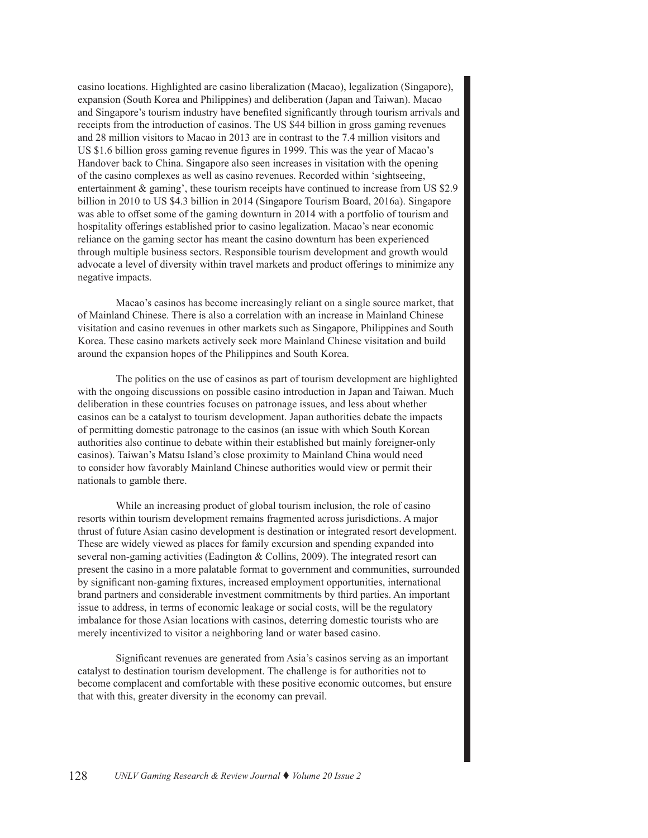casino locations. Highlighted are casino liberalization (Macao), legalization (Singapore), expansion (South Korea and Philippines) and deliberation (Japan and Taiwan). Macao and Singapore's tourism industry have benefited significantly through tourism arrivals and receipts from the introduction of casinos. The US \$44 billion in gross gaming revenues and 28 million visitors to Macao in 2013 are in contrast to the 7.4 million visitors and US \$1.6 billion gross gaming revenue figures in 1999. This was the year of Macao's Handover back to China. Singapore also seen increases in visitation with the opening of the casino complexes as well as casino revenues. Recorded within 'sightseeing, entertainment & gaming', these tourism receipts have continued to increase from US \$2.9 billion in 2010 to US \$4.3 billion in 2014 (Singapore Tourism Board, 2016a). Singapore was able to offset some of the gaming downturn in 2014 with a portfolio of tourism and hospitality offerings established prior to casino legalization. Macao's near economic reliance on the gaming sector has meant the casino downturn has been experienced through multiple business sectors. Responsible tourism development and growth would advocate a level of diversity within travel markets and product offerings to minimize any negative impacts.

Macao's casinos has become increasingly reliant on a single source market, that of Mainland Chinese. There is also a correlation with an increase in Mainland Chinese visitation and casino revenues in other markets such as Singapore, Philippines and South Korea. These casino markets actively seek more Mainland Chinese visitation and build around the expansion hopes of the Philippines and South Korea.

The politics on the use of casinos as part of tourism development are highlighted with the ongoing discussions on possible casino introduction in Japan and Taiwan. Much deliberation in these countries focuses on patronage issues, and less about whether casinos can be a catalyst to tourism development. Japan authorities debate the impacts of permitting domestic patronage to the casinos (an issue with which South Korean authorities also continue to debate within their established but mainly foreigner-only casinos). Taiwan's Matsu Island's close proximity to Mainland China would need to consider how favorably Mainland Chinese authorities would view or permit their nationals to gamble there.

While an increasing product of global tourism inclusion, the role of casino resorts within tourism development remains fragmented across jurisdictions. A major thrust of future Asian casino development is destination or integrated resort development. These are widely viewed as places for family excursion and spending expanded into several non-gaming activities (Eadington & Collins, 2009). The integrated resort can present the casino in a more palatable format to government and communities, surrounded by significant non-gaming fixtures, increased employment opportunities, international brand partners and considerable investment commitments by third parties. An important issue to address, in terms of economic leakage or social costs, will be the regulatory imbalance for those Asian locations with casinos, deterring domestic tourists who are merely incentivized to visitor a neighboring land or water based casino.

Significant revenues are generated from Asia's casinos serving as an important catalyst to destination tourism development. The challenge is for authorities not to become complacent and comfortable with these positive economic outcomes, but ensure that with this, greater diversity in the economy can prevail.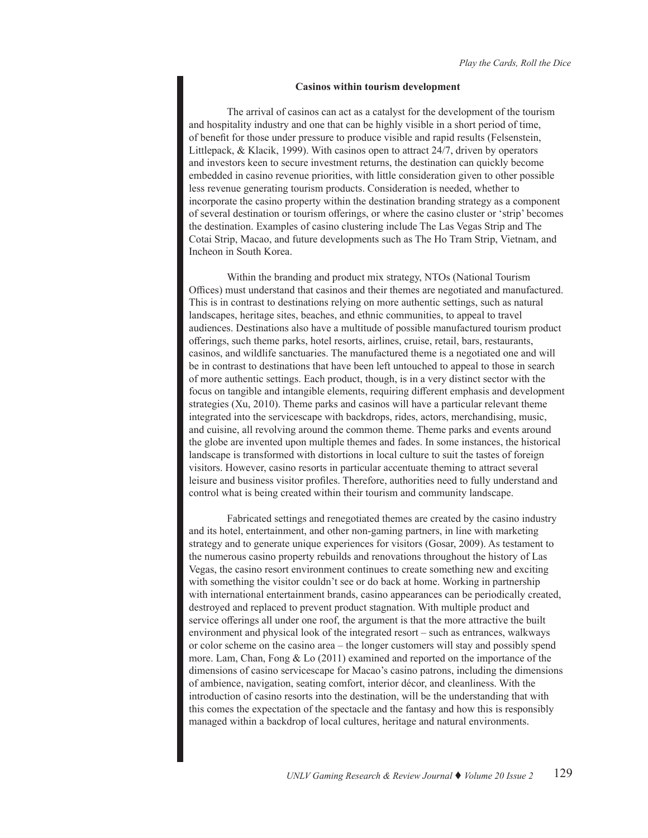#### **Casinos within tourism development**

The arrival of casinos can act as a catalyst for the development of the tourism and hospitality industry and one that can be highly visible in a short period of time, of benefit for those under pressure to produce visible and rapid results (Felsenstein, Littlepack, & Klacik, 1999). With casinos open to attract 24/7, driven by operators and investors keen to secure investment returns, the destination can quickly become embedded in casino revenue priorities, with little consideration given to other possible less revenue generating tourism products. Consideration is needed, whether to incorporate the casino property within the destination branding strategy as a component of several destination or tourism offerings, or where the casino cluster or 'strip' becomes the destination. Examples of casino clustering include The Las Vegas Strip and The Cotai Strip, Macao, and future developments such as The Ho Tram Strip, Vietnam, and Incheon in South Korea.

Within the branding and product mix strategy, NTOs (National Tourism Offices) must understand that casinos and their themes are negotiated and manufactured. This is in contrast to destinations relying on more authentic settings, such as natural landscapes, heritage sites, beaches, and ethnic communities, to appeal to travel audiences. Destinations also have a multitude of possible manufactured tourism product offerings, such theme parks, hotel resorts, airlines, cruise, retail, bars, restaurants, casinos, and wildlife sanctuaries. The manufactured theme is a negotiated one and will be in contrast to destinations that have been left untouched to appeal to those in search of more authentic settings. Each product, though, is in a very distinct sector with the focus on tangible and intangible elements, requiring different emphasis and development strategies (Xu, 2010). Theme parks and casinos will have a particular relevant theme integrated into the servicescape with backdrops, rides, actors, merchandising, music, and cuisine, all revolving around the common theme. Theme parks and events around the globe are invented upon multiple themes and fades. In some instances, the historical landscape is transformed with distortions in local culture to suit the tastes of foreign visitors. However, casino resorts in particular accentuate theming to attract several leisure and business visitor profiles. Therefore, authorities need to fully understand and control what is being created within their tourism and community landscape.

Fabricated settings and renegotiated themes are created by the casino industry and its hotel, entertainment, and other non-gaming partners, in line with marketing strategy and to generate unique experiences for visitors (Gosar, 2009). As testament to the numerous casino property rebuilds and renovations throughout the history of Las Vegas, the casino resort environment continues to create something new and exciting with something the visitor couldn't see or do back at home. Working in partnership with international entertainment brands, casino appearances can be periodically created, destroyed and replaced to prevent product stagnation. With multiple product and service offerings all under one roof, the argument is that the more attractive the built environment and physical look of the integrated resort – such as entrances, walkways or color scheme on the casino area – the longer customers will stay and possibly spend more. Lam, Chan, Fong & Lo (2011) examined and reported on the importance of the dimensions of casino servicescape for Macao's casino patrons, including the dimensions of ambience, navigation, seating comfort, interior décor, and cleanliness. With the introduction of casino resorts into the destination, will be the understanding that with this comes the expectation of the spectacle and the fantasy and how this is responsibly managed within a backdrop of local cultures, heritage and natural environments.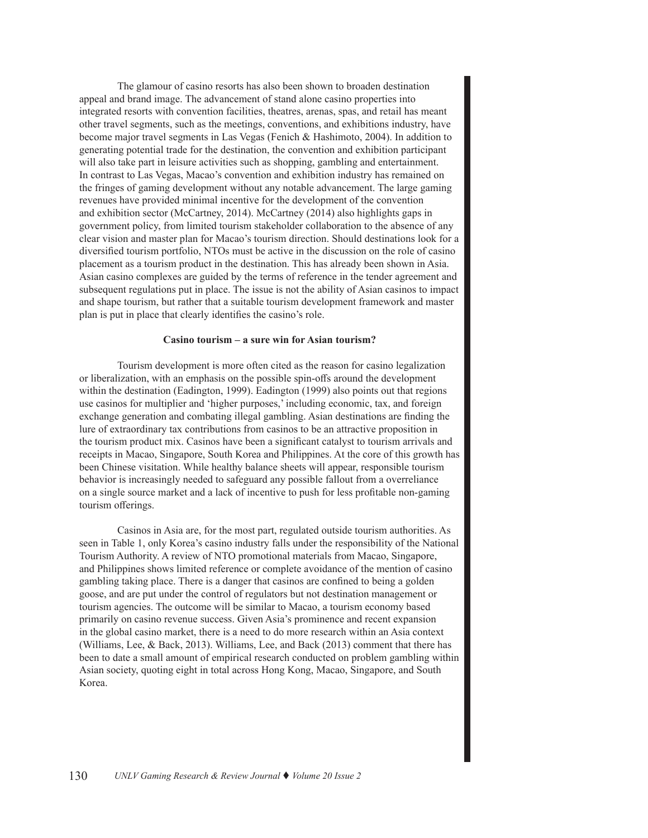The glamour of casino resorts has also been shown to broaden destination appeal and brand image. The advancement of stand alone casino properties into integrated resorts with convention facilities, theatres, arenas, spas, and retail has meant other travel segments, such as the meetings, conventions, and exhibitions industry, have become major travel segments in Las Vegas (Fenich & Hashimoto, 2004). In addition to generating potential trade for the destination, the convention and exhibition participant will also take part in leisure activities such as shopping, gambling and entertainment. In contrast to Las Vegas, Macao's convention and exhibition industry has remained on the fringes of gaming development without any notable advancement. The large gaming revenues have provided minimal incentive for the development of the convention and exhibition sector (McCartney, 2014). McCartney (2014) also highlights gaps in government policy, from limited tourism stakeholder collaboration to the absence of any clear vision and master plan for Macao's tourism direction. Should destinations look for a diversified tourism portfolio, NTOs must be active in the discussion on the role of casino placement as a tourism product in the destination. This has already been shown in Asia. Asian casino complexes are guided by the terms of reference in the tender agreement and subsequent regulations put in place. The issue is not the ability of Asian casinos to impact and shape tourism, but rather that a suitable tourism development framework and master plan is put in place that clearly identifies the casino's role.

#### **Casino tourism – a sure win for Asian tourism?**

Tourism development is more often cited as the reason for casino legalization or liberalization, with an emphasis on the possible spin-offs around the development within the destination (Eadington, 1999). Eadington (1999) also points out that regions use casinos for multiplier and 'higher purposes,' including economic, tax, and foreign exchange generation and combating illegal gambling. Asian destinations are finding the lure of extraordinary tax contributions from casinos to be an attractive proposition in the tourism product mix. Casinos have been a significant catalyst to tourism arrivals and receipts in Macao, Singapore, South Korea and Philippines. At the core of this growth has been Chinese visitation. While healthy balance sheets will appear, responsible tourism behavior is increasingly needed to safeguard any possible fallout from a overreliance on a single source market and a lack of incentive to push for less profitable non-gaming tourism offerings.

Casinos in Asia are, for the most part, regulated outside tourism authorities. As seen in Table 1, only Korea's casino industry falls under the responsibility of the National Tourism Authority. A review of NTO promotional materials from Macao, Singapore, and Philippines shows limited reference or complete avoidance of the mention of casino gambling taking place. There is a danger that casinos are confined to being a golden goose, and are put under the control of regulators but not destination management or tourism agencies. The outcome will be similar to Macao, a tourism economy based primarily on casino revenue success. Given Asia's prominence and recent expansion in the global casino market, there is a need to do more research within an Asia context (Williams, Lee, & Back, 2013). Williams, Lee, and Back (2013) comment that there has been to date a small amount of empirical research conducted on problem gambling within Asian society, quoting eight in total across Hong Kong, Macao, Singapore, and South Korea.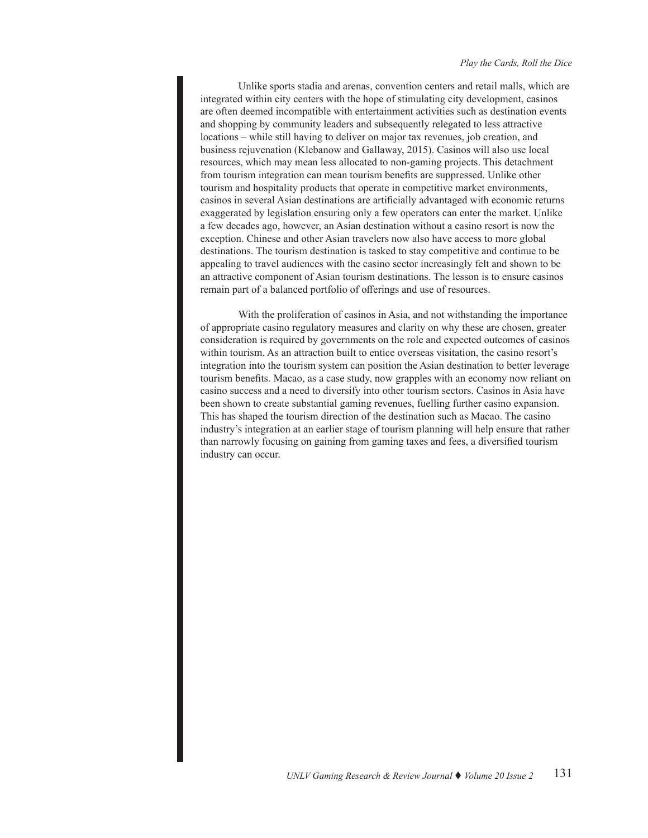Unlike sports stadia and arenas, convention centers and retail malls, which are integrated within city centers with the hope of stimulating city development, casinos are often deemed incompatible with entertainment activities such as destination events and shopping by community leaders and subsequently relegated to less attractive locations – while still having to deliver on major tax revenues, job creation, and business rejuvenation (Klebanow and Gallaway, 2015). Casinos will also use local resources, which may mean less allocated to non-gaming projects. This detachment from tourism integration can mean tourism benefits are suppressed. Unlike other tourism and hospitality products that operate in competitive market environments, casinos in several Asian destinations are artificially advantaged with economic returns exaggerated by legislation ensuring only a few operators can enter the market. Unlike a few decades ago, however, an Asian destination without a casino resort is now the exception. Chinese and other Asian travelers now also have access to more global destinations. The tourism destination is tasked to stay competitive and continue to be appealing to travel audiences with the casino sector increasingly felt and shown to be an attractive component of Asian tourism destinations. The lesson is to ensure casinos remain part of a balanced portfolio of offerings and use of resources.

With the proliferation of casinos in Asia, and not withstanding the importance of appropriate casino regulatory measures and clarity on why these are chosen, greater consideration is required by governments on the role and expected outcomes of casinos within tourism. As an attraction built to entice overseas visitation, the casino resort's integration into the tourism system can position the Asian destination to better leverage tourism benefits. Macao, as a case study, now grapples with an economy now reliant on casino success and a need to diversify into other tourism sectors. Casinos in Asia have been shown to create substantial gaming revenues, fuelling further casino expansion. This has shaped the tourism direction of the destination such as Macao. The casino industry's integration at an earlier stage of tourism planning will help ensure that rather than narrowly focusing on gaining from gaming taxes and fees, a diversified tourism industry can occur.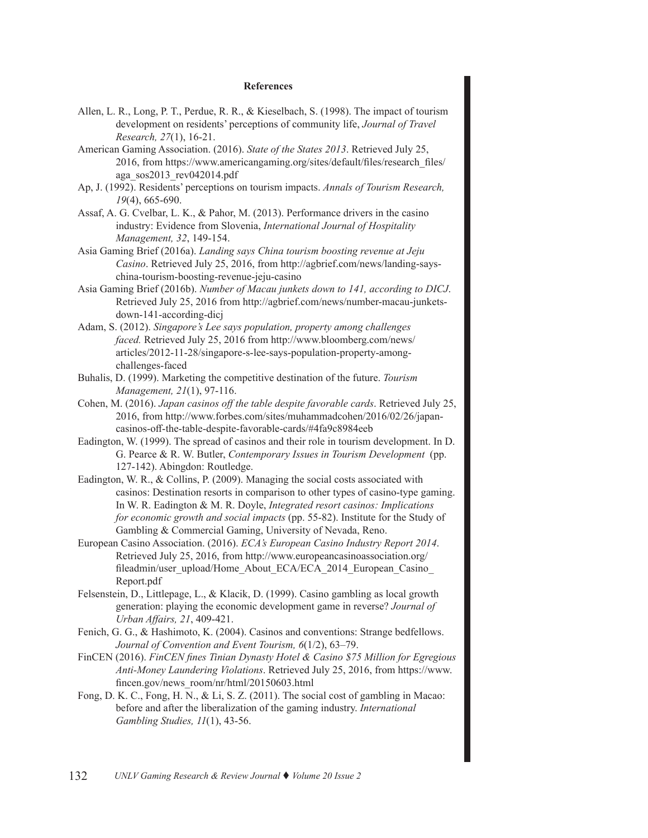# **References**

- Allen, L. R., Long, P. T., Perdue, R. R., & Kieselbach, S. (1998). The impact of tourism development on residents' perceptions of community life, *Journal of Travel Research, 27*(1), 16-21.
- American Gaming Association. (2016). *State of the States 2013*. Retrieved July 25, 2016, from https://www.americangaming.org/sites/default/files/research\_files/ aga\_sos2013\_rev042014.pdf
- Ap, J. (1992). Residents' perceptions on tourism impacts. *Annals of Tourism Research, 19*(4), 665-690.
- Assaf, A. G. Cvelbar, L. K., & Pahor, M. (2013). Performance drivers in the casino industry: Evidence from Slovenia, *International Journal of Hospitality Management, 32*, 149-154.
- Asia Gaming Brief (2016a). *Landing says China tourism boosting revenue at Jeju Casino*. Retrieved July 25, 2016, from http://agbrief.com/news/landing-sayschina-tourism-boosting-revenue-jeju-casino
- Asia Gaming Brief (2016b). *Number of Macau junkets down to 141, according to DICJ*. Retrieved July 25, 2016 from http://agbrief.com/news/number-macau-junketsdown-141-according-dicj
- Adam, S. (2012). *Singapore's Lee says population, property among challenges faced.* Retrieved July 25, 2016 from http://www.bloomberg.com/news/ articles/2012-11-28/singapore-s-lee-says-population-property-amongchallenges-faced
- Buhalis, D. (1999). Marketing the competitive destination of the future. *Tourism Management, 21*(1), 97-116.
- Cohen, M. (2016). *Japan casinos off the table despite favorable cards*. Retrieved July 25, 2016, from http://www.forbes.com/sites/muhammadcohen/2016/02/26/japancasinos-off-the-table-despite-favorable-cards/#4fa9c8984eeb
- Eadington, W. (1999). The spread of casinos and their role in tourism development. In D. G. Pearce & R. W. Butler, *Contemporary Issues in Tourism Development* (pp. 127-142). Abingdon: Routledge.
- Eadington, W. R., & Collins, P. (2009). Managing the social costs associated with casinos: Destination resorts in comparison to other types of casino-type gaming. In W. R. Eadington & M. R. Doyle, *Integrated resort casinos: Implications for economic growth and social impacts* (pp. 55-82). Institute for the Study of Gambling & Commercial Gaming, University of Nevada, Reno.
- European Casino Association. (2016). *ECA's European Casino Industry Report 2014*. Retrieved July 25, 2016, from http://www.europeancasinoassociation.org/ fileadmin/user\_upload/Home\_About\_ECA/ECA\_2014\_European\_Casino\_ Report.pdf
- Felsenstein, D., Littlepage, L., & Klacik, D. (1999). Casino gambling as local growth generation: playing the economic development game in reverse? *Journal of Urban Affairs, 21*, 409-421.
- Fenich, G. G., & Hashimoto, K. (2004). Casinos and conventions: Strange bedfellows. *Journal of Convention and Event Tourism, 6*(1/2), 63–79.
- FinCEN (2016). *FinCEN fines Tinian Dynasty Hotel & Casino \$75 Million for Egregious Anti-Money Laundering Violations*. Retrieved July 25, 2016, from https://www. fincen.gov/news\_room/nr/html/20150603.html
- Fong, D. K. C., Fong, H. N., & Li, S. Z. (2011). The social cost of gambling in Macao: before and after the liberalization of the gaming industry. *International Gambling Studies, 11*(1), 43-56.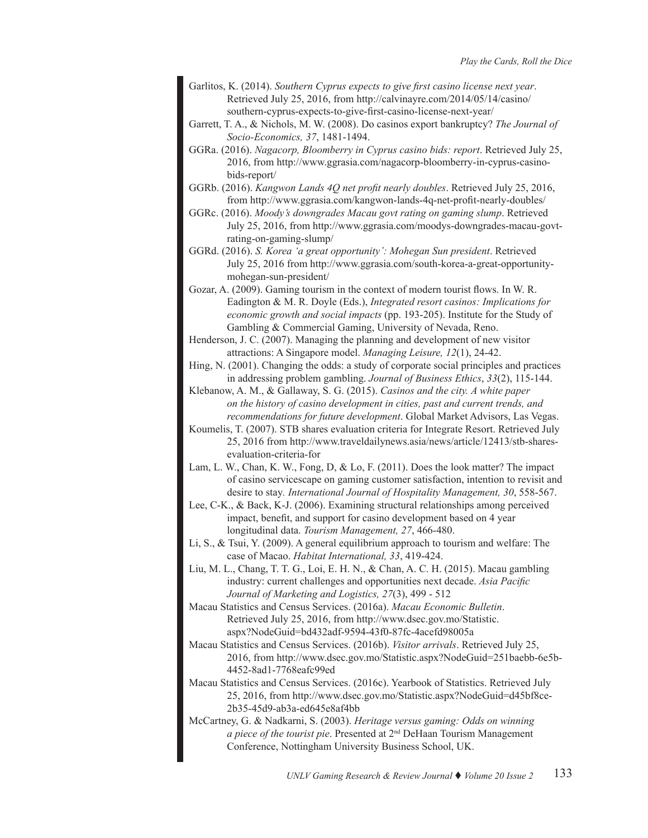- Garlitos, K. (2014). *Southern Cyprus expects to give first casino license next year*. Retrieved July 25, 2016, from http://calvinayre.com/2014/05/14/casino/ southern-cyprus-expects-to-give-first-casino-license-next-year/
- Garrett, T. A., & Nichols, M. W. (2008). Do casinos export bankruptcy? *The Journal of Socio-Economics, 37*, 1481-1494.
- GGRa. (2016). *Nagacorp, Bloomberry in Cyprus casino bids: report*. Retrieved July 25, 2016, from http://www.ggrasia.com/nagacorp-bloomberry-in-cyprus-casinobids-report/
- GGRb. (2016). *Kangwon Lands 4Q net profit nearly doubles*. Retrieved July 25, 2016, from http://www.ggrasia.com/kangwon-lands-4q-net-profit-nearly-doubles/
- GGRc. (2016). *Moody's downgrades Macau govt rating on gaming slump*. Retrieved July 25, 2016, from http://www.ggrasia.com/moodys-downgrades-macau-govtrating-on-gaming-slump/
- GGRd. (2016). *S. Korea 'a great opportunity': Mohegan Sun president*. Retrieved July 25, 2016 from http://www.ggrasia.com/south-korea-a-great-opportunitymohegan-sun-president/
- Gozar, A. (2009). Gaming tourism in the context of modern tourist flows. In W. R. Eadington & M. R. Doyle (Eds.), *Integrated resort casinos: Implications for economic growth and social impacts* (pp. 193-205). Institute for the Study of Gambling & Commercial Gaming, University of Nevada, Reno.
- Henderson, J. C. (2007). Managing the planning and development of new visitor attractions: A Singapore model. *Managing Leisure, 12*(1), 24-42.
- Hing, N. (2001). Changing the odds: a study of corporate social principles and practices in addressing problem gambling. *Journal of Business Ethics*, *33*(2), 115-144.
- Klebanow, A. M., & Gallaway, S. G. (2015). *Casinos and the city. A white paper on the history of casino development in cities, past and current trends, and recommendations for future development*. Global Market Advisors, Las Vegas.
- Koumelis, T. (2007). STB shares evaluation criteria for Integrate Resort. Retrieved July 25, 2016 from http://www.traveldailynews.asia/news/article/12413/stb-sharesevaluation-criteria-for
- Lam, L. W., Chan, K. W., Fong, D, & Lo, F. (2011). Does the look matter? The impact of casino servicescape on gaming customer satisfaction, intention to revisit and desire to stay*. International Journal of Hospitality Management, 30*, 558-567.
- Lee, C-K., & Back, K-J. (2006). Examining structural relationships among perceived impact, benefit, and support for casino development based on 4 year longitudinal data. *Tourism Management, 27*, 466-480.
- Li, S., & Tsui, Y. (2009). A general equilibrium approach to tourism and welfare: The case of Macao. *Habitat International, 33*, 419-424.
- Liu, M. L., Chang, T. T. G., Loi, E. H. N., & Chan, A. C. H. (2015). Macau gambling industry: current challenges and opportunities next decade. *Asia Pacific Journal of Marketing and Logistics, 27*(3), 499 - 512
- Macau Statistics and Census Services. (2016a). *Macau Economic Bulletin*. Retrieved July 25, 2016, from http://www.dsec.gov.mo/Statistic. aspx?NodeGuid=bd432adf-9594-43f0-87fc-4acefd98005a
- Macau Statistics and Census Services. (2016b). *Visitor arrivals*. Retrieved July 25, 2016, from http://www.dsec.gov.mo/Statistic.aspx?NodeGuid=251baebb-6e5b-4452-8ad1-7768eafc99ed
- Macau Statistics and Census Services. (2016c). Yearbook of Statistics. Retrieved July 25, 2016, from http://www.dsec.gov.mo/Statistic.aspx?NodeGuid=d45bf8ce-2b35-45d9-ab3a-ed645e8af4bb
- McCartney, G. & Nadkarni, S. (2003). *Heritage versus gaming: Odds on winning a piece of the tourist pie*. Presented at 2nd DeHaan Tourism Management Conference, Nottingham University Business School, UK.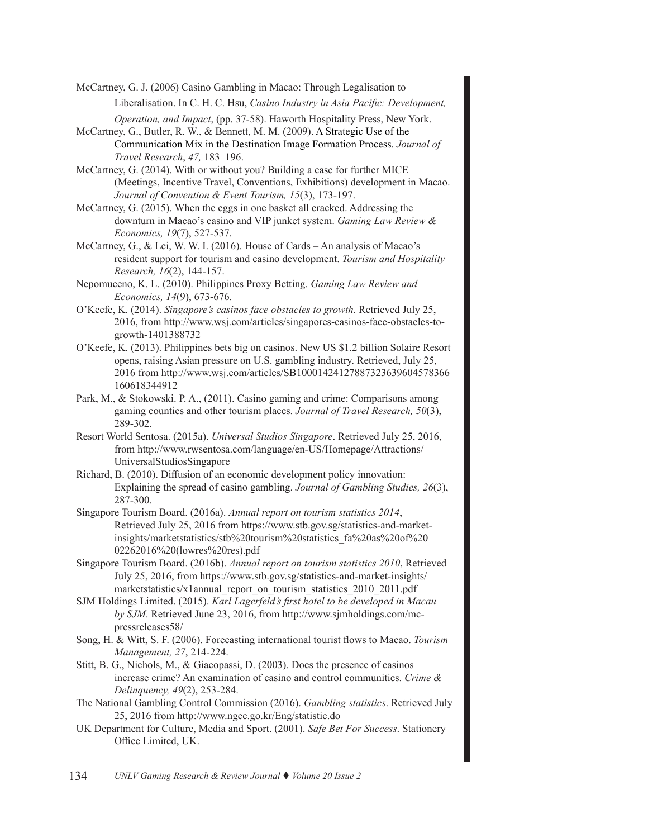McCartney, G. J. (2006) Casino Gambling in Macao: Through Legalisation to

Liberalisation. In C. H. C. Hsu, *Casino Industry in Asia Pacific: Development,* 

- *Operation, and Impact*, (pp. 37-58). Haworth Hospitality Press, New York. McCartney, G., Butler, R. W., & Bennett, M. M. (2009). A Strategic Use of the Communication Mix in the Destination Image Formation Process. *Journal of Travel Research*, *47,* 183–196.
- McCartney, G. (2014). With or without you? Building a case for further MICE (Meetings, Incentive Travel, Conventions, Exhibitions) development in Macao. *Journal of Convention & Event Tourism, 15*(3), 173-197.
- McCartney, G. (2015). When the eggs in one basket all cracked. Addressing the downturn in Macao's casino and VIP junket system. *Gaming Law Review & Economics, 19*(7), 527-537.
- McCartney, G., & Lei, W. W. I. (2016). House of Cards An analysis of Macao's resident support for tourism and casino development. *Tourism and Hospitality Research, 16*(2), 144-157.
- Nepomuceno, K. L. (2010). Philippines Proxy Betting. *Gaming Law Review and Economics, 14*(9), 673-676.
- O'Keefe, K. (2014). *Singapore's casinos face obstacles to growth*. Retrieved July 25, 2016, from http://www.wsj.com/articles/singapores-casinos-face-obstacles-togrowth-1401388732
- O'Keefe, K. (2013). Philippines bets big on casinos. New US \$1.2 billion Solaire Resort opens, raising Asian pressure on U.S. gambling industry. Retrieved, July 25, 2016 from http://www.wsj.com/articles/SB10001424127887323639604578366 160618344912
- Park, M., & Stokowski. P. A., (2011). Casino gaming and crime: Comparisons among gaming counties and other tourism places. *Journal of Travel Research, 50*(3), 289-302.
- Resort World Sentosa. (2015a). *Universal Studios Singapore*. Retrieved July 25, 2016, from http://www.rwsentosa.com/language/en-US/Homepage/Attractions/ UniversalStudiosSingapore
- Richard, B. (2010). Diffusion of an economic development policy innovation: Explaining the spread of casino gambling. *Journal of Gambling Studies, 26*(3), 287-300.
- Singapore Tourism Board. (2016a). *Annual report on tourism statistics 2014*, Retrieved July 25, 2016 from https://www.stb.gov.sg/statistics-and-marketinsights/marketstatistics/stb%20tourism%20statistics\_fa%20as%20of%20 02262016%20(lowres%20res).pdf
- Singapore Tourism Board. (2016b). *Annual report on tourism statistics 2010*, Retrieved July 25, 2016, from https://www.stb.gov.sg/statistics-and-market-insights/ marketstatistics/x1annual\_report\_on\_tourism\_statistics\_2010\_2011.pdf
- SJM Holdings Limited. (2015). *Karl Lagerfeld's first hotel to be developed in Macau by SJM*. Retrieved June 23, 2016, from http://www.sjmholdings.com/mcpressreleases58/
- Song, H. & Witt, S. F. (2006). Forecasting international tourist flows to Macao. *Tourism Management, 27*, 214-224.
- Stitt, B. G., Nichols, M., & Giacopassi, D. (2003). Does the presence of casinos increase crime? An examination of casino and control communities. *Crime & Delinquency, 49*(2), 253-284.
- The National Gambling Control Commission (2016). *Gambling statistics*. Retrieved July 25, 2016 from <http://www.ngcc.go.kr/Eng/statistic.do>
- UK Department for Culture, Media and Sport. (2001). *Safe Bet For Success*. Stationery Office Limited, UK.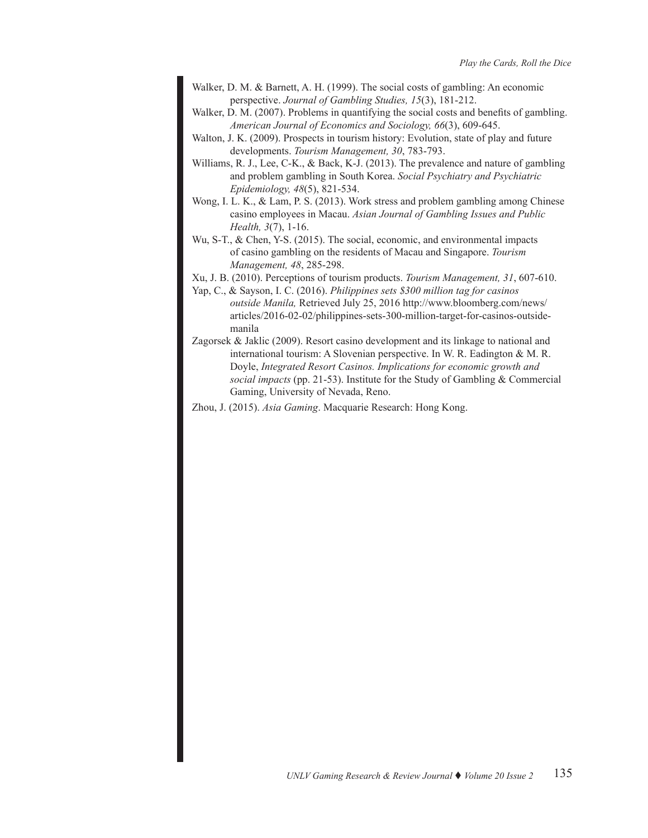- Walker, D. M. & Barnett, A. H. (1999). The social costs of gambling: An economic perspective. *Journal of Gambling Studies, 15*(3), 181-212.
- Walker, D. M. (2007). Problems in quantifying the social costs and benefits of gambling. *American Journal of Economics and Sociology, 66*(3), 609-645.
- Walton, J. K. (2009). Prospects in tourism history: Evolution, state of play and future developments. *Tourism Management, 30*, 783-793.
- Williams, R. J., Lee, C-K., & Back, K-J. (2013). The prevalence and nature of gambling and problem gambling in South Korea. *Social Psychiatry and Psychiatric Epidemiology, 48*(5), 821-534.
- Wong, I. L. K., & Lam, P. S. (2013). Work stress and problem gambling among Chinese casino employees in Macau. *Asian Journal of Gambling Issues and Public Health, 3*(7), 1-16.
- Wu, S-T., & Chen, Y-S. (2015). The social, economic, and environmental impacts of casino gambling on the residents of Macau and Singapore. *Tourism Management, 48*, 285-298.
- Xu, J. B. (2010). Perceptions of tourism products. *Tourism Management, 31*, 607-610.
- Yap, C., & Sayson, I. C. (2016). *Philippines sets \$300 million tag for casinos outside Manila,* Retrieved July 25, 2016 http://www.bloomberg.com/news/ articles/2016-02-02/philippines-sets-300-million-target-for-casinos-outsidemanila
- Zagorsek & Jaklic (2009). Resort casino development and its linkage to national and international tourism: A Slovenian perspective. In W. R. Eadington & M. R. Doyle, *Integrated Resort Casinos. Implications for economic growth and social impacts* (pp. 21-53). Institute for the Study of Gambling & Commercial Gaming, University of Nevada, Reno.
- Zhou, J. (2015). *Asia Gaming*. Macquarie Research: Hong Kong.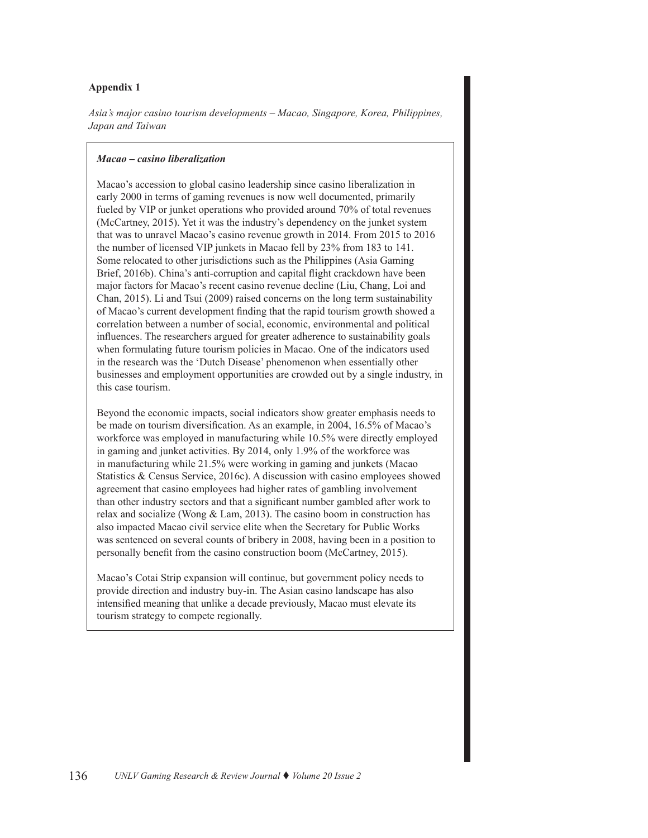# **Appendix 1**

*Asia's major casino tourism developments – Macao, Singapore, Korea, Philippines, Japan and Taiwan*

# *Macao – casino liberalization*

Macao's accession to global casino leadership since casino liberalization in early 2000 in terms of gaming revenues is now well documented, primarily fueled by VIP or junket operations who provided around 70% of total revenues (McCartney, 2015). Yet it was the industry's dependency on the junket system that was to unravel Macao's casino revenue growth in 2014. From 2015 to 2016 the number of licensed VIP junkets in Macao fell by 23% from 183 to 141. Some relocated to other jurisdictions such as the Philippines (Asia Gaming Brief, 2016b). China's anti-corruption and capital flight crackdown have been major factors for Macao's recent casino revenue decline (Liu, Chang, Loi and Chan, 2015). Li and Tsui (2009) raised concerns on the long term sustainability of Macao's current development finding that the rapid tourism growth showed a correlation between a number of social, economic, environmental and political influences. The researchers argued for greater adherence to sustainability goals when formulating future tourism policies in Macao. One of the indicators used in the research was the 'Dutch Disease' phenomenon when essentially other businesses and employment opportunities are crowded out by a single industry, in this case tourism.

Beyond the economic impacts, social indicators show greater emphasis needs to be made on tourism diversification. As an example, in 2004, 16.5% of Macao's workforce was employed in manufacturing while 10.5% were directly employed in gaming and junket activities. By 2014, only 1.9% of the workforce was in manufacturing while 21.5% were working in gaming and junkets (Macao Statistics & Census Service, 2016c). A discussion with casino employees showed agreement that casino employees had higher rates of gambling involvement than other industry sectors and that a significant number gambled after work to relax and socialize (Wong & Lam, 2013). The casino boom in construction has also impacted Macao civil service elite when the Secretary for Public Works was sentenced on several counts of bribery in 2008, having been in a position to personally benefit from the casino construction boom (McCartney, 2015).

Macao's Cotai Strip expansion will continue, but government policy needs to provide direction and industry buy-in. The Asian casino landscape has also intensified meaning that unlike a decade previously, Macao must elevate its tourism strategy to compete regionally.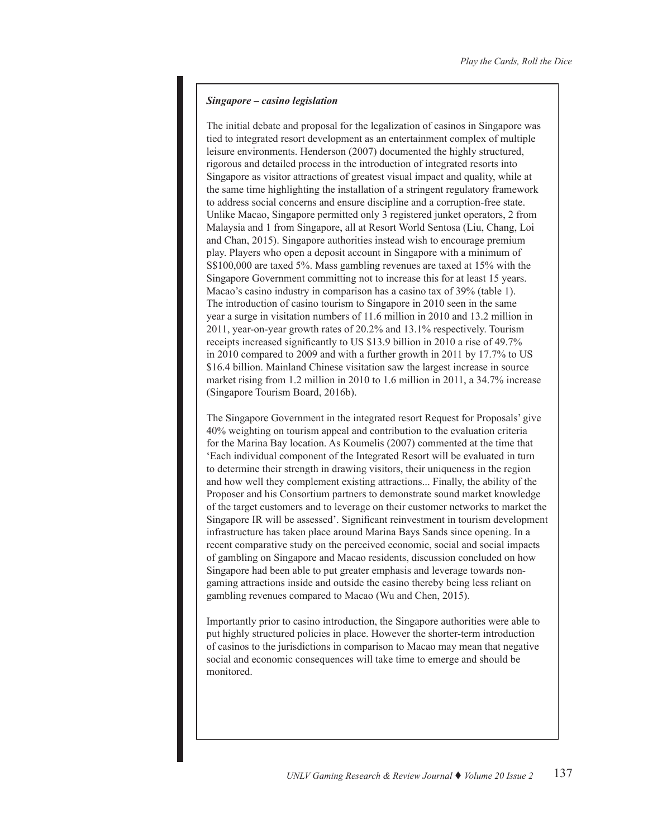# *Singapore – casino legislation*

The initial debate and proposal for the legalization of casinos in Singapore was tied to integrated resort development as an entertainment complex of multiple leisure environments. Henderson (2007) documented the highly structured, rigorous and detailed process in the introduction of integrated resorts into Singapore as visitor attractions of greatest visual impact and quality, while at the same time highlighting the installation of a stringent regulatory framework to address social concerns and ensure discipline and a corruption-free state. Unlike Macao, Singapore permitted only 3 registered junket operators, 2 from Malaysia and 1 from Singapore, all at Resort World Sentosa (Liu, Chang, Loi and Chan, 2015). Singapore authorities instead wish to encourage premium play. Players who open a deposit account in Singapore with a minimum of S\$100,000 are taxed 5%. Mass gambling revenues are taxed at 15% with the Singapore Government committing not to increase this for at least 15 years. Macao's casino industry in comparison has a casino tax of 39% (table 1). The introduction of casino tourism to Singapore in 2010 seen in the same year a surge in visitation numbers of 11.6 million in 2010 and 13.2 million in 2011, year-on-year growth rates of 20.2% and 13.1% respectively. Tourism receipts increased significantly to US \$13.9 billion in 2010 a rise of 49.7% in 2010 compared to 2009 and with a further growth in 2011 by 17.7% to US \$16.4 billion. Mainland Chinese visitation saw the largest increase in source market rising from 1.2 million in 2010 to 1.6 million in 2011, a 34.7% increase (Singapore Tourism Board, 2016b).

The Singapore Government in the integrated resort Request for Proposals' give 40% weighting on tourism appeal and contribution to the evaluation criteria for the Marina Bay location. As Koumelis (2007) commented at the time that 'Each individual component of the Integrated Resort will be evaluated in turn to determine their strength in drawing visitors, their uniqueness in the region and how well they complement existing attractions... Finally, the ability of the Proposer and his Consortium partners to demonstrate sound market knowledge of the target customers and to leverage on their customer networks to market the Singapore IR will be assessed'. Significant reinvestment in tourism development infrastructure has taken place around Marina Bays Sands since opening. In a recent comparative study on the perceived economic, social and social impacts of gambling on Singapore and Macao residents, discussion concluded on how Singapore had been able to put greater emphasis and leverage towards nongaming attractions inside and outside the casino thereby being less reliant on gambling revenues compared to Macao (Wu and Chen, 2015).

Importantly prior to casino introduction, the Singapore authorities were able to put highly structured policies in place. However the shorter-term introduction of casinos to the jurisdictions in comparison to Macao may mean that negative social and economic consequences will take time to emerge and should be monitored.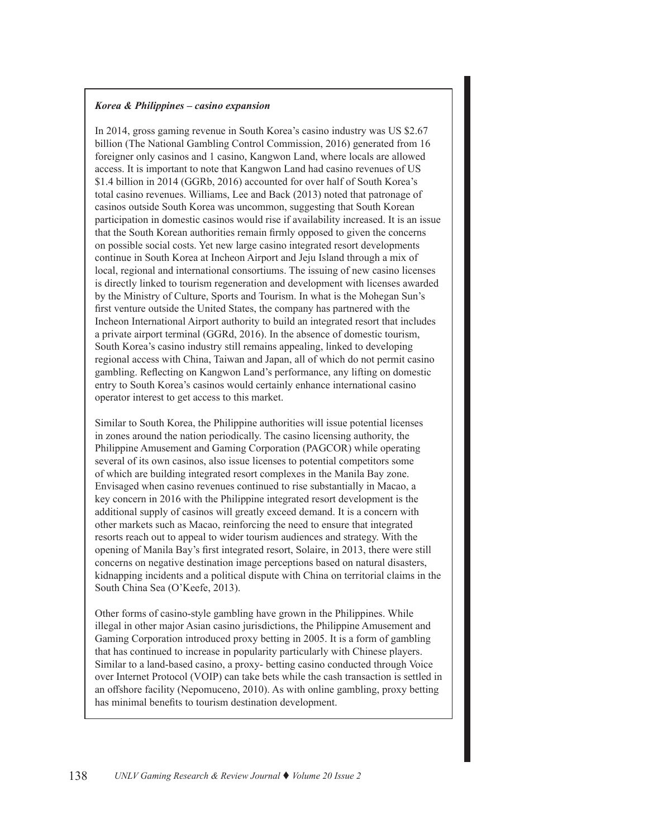# *Korea & Philippines – casino expansion*

In 2014, gross gaming revenue in South Korea's casino industry was US \$2.67 billion (The National Gambling Control Commission, 2016) generated from 16 foreigner only casinos and 1 casino, Kangwon Land, where locals are allowed access. It is important to note that Kangwon Land had casino revenues of US \$1.4 billion in 2014 (GGRb, 2016) accounted for over half of South Korea's total casino revenues. Williams, Lee and Back (2013) noted that patronage of casinos outside South Korea was uncommon, suggesting that South Korean participation in domestic casinos would rise if availability increased. It is an issue that the South Korean authorities remain firmly opposed to given the concerns on possible social costs. Yet new large casino integrated resort developments continue in South Korea at Incheon Airport and Jeju Island through a mix of local, regional and international consortiums. The issuing of new casino licenses is directly linked to tourism regeneration and development with licenses awarded by the Ministry of Culture, Sports and Tourism. In what is the Mohegan Sun's first venture outside the United States, the company has partnered with the Incheon International Airport authority to build an integrated resort that includes a private airport terminal (GGRd, 2016). In the absence of domestic tourism, South Korea's casino industry still remains appealing, linked to developing regional access with China, Taiwan and Japan, all of which do not permit casino gambling. Reflecting on Kangwon Land's performance, any lifting on domestic entry to South Korea's casinos would certainly enhance international casino operator interest to get access to this market.

Similar to South Korea, the Philippine authorities will issue potential licenses in zones around the nation periodically. The casino licensing authority, the Philippine Amusement and Gaming Corporation (PAGCOR) while operating several of its own casinos, also issue licenses to potential competitors some of which are building integrated resort complexes in the Manila Bay zone. Envisaged when casino revenues continued to rise substantially in Macao, a key concern in 2016 with the Philippine integrated resort development is the additional supply of casinos will greatly exceed demand. It is a concern with other markets such as Macao, reinforcing the need to ensure that integrated resorts reach out to appeal to wider tourism audiences and strategy. With the opening of Manila Bay's first integrated resort, Solaire, in 2013, there were still concerns on negative destination image perceptions based on natural disasters, kidnapping incidents and a political dispute with China on territorial claims in the South China Sea (O'Keefe, 2013).

Other forms of casino-style gambling have grown in the Philippines. While illegal in other major Asian casino jurisdictions, the Philippine Amusement and Gaming Corporation introduced proxy betting in 2005. It is a form of gambling that has continued to increase in popularity particularly with Chinese players. Similar to a land-based casino, a proxy- betting casino conducted through Voice over Internet Protocol (VOIP) can take bets while the cash transaction is settled in an offshore facility (Nepomuceno, 2010). As with online gambling, proxy betting has minimal benefits to tourism destination development.